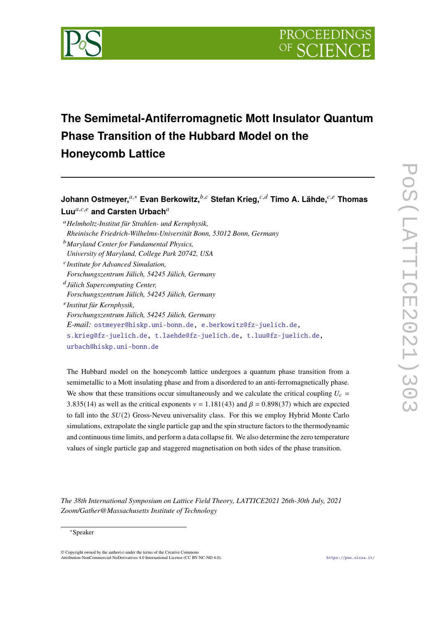

# **The Semimetal-Antiferromagnetic Mott Insulator Quantum Phase Transition of the Hubbard Model on the Honeycomb Lattice**

## **Johann Ostmeyer,**𝑎,<sup>∗</sup> **Evan Berkowitz,**𝑏,𝑐 **Stefan Krieg,**𝑐,𝑑 **Timo A. Lähde,**𝑐,𝑒 **Thomas** Luu<sup>a,c,e</sup> and Carsten Urbach<sup>a</sup>

<sup>𝑎</sup>*Helmholtz-Institut für Strahlen- und Kernphysik, Rheinische Friedrich-Wilhelms-Universität Bonn, 53012 Bonn, Germany* <sup>𝑏</sup>*Maryland Center for Fundamental Physics, University of Maryland, College Park 20742, USA* 𝑐 *Institute for Advanced Simulation, Forschungszentrum Jülich, 54245 Jülich, Germany* 𝑑 *Jülich Supercomputing Center, Forschungszentrum Jülich, 54245 Jülich, Germany* 𝑒 *Institut für Kernphysik, Forschungszentrum Jülich, 54245 Jülich, Germany E-mail:* [ostmeyer@hiskp.uni-bonn.de,](mailto:ostmeyer@hiskp.uni-bonn.de) [e.berkowitz@fz-juelich.de,](mailto:e.berkowitz@fz-juelich.de) [s.krieg@fz-juelich.de,](mailto:s.krieg@fz-juelich.de) [t.laehde@fz-juelich.de,](mailto:t.laehde@fz-juelich.de) [t.luu@fz-juelich.de,](mailto:t.luu@fz-juelich.de) [urbach@hiskp.uni-bonn.de](mailto:urbach@hiskp.uni-bonn.de)

The Hubbard model on the honeycomb lattice undergoes a quantum phase transition from a semimetallic to a Mott insulating phase and from a disordered to an anti-ferromagnetically phase. We show that these transitions occur simultaneously and we calculate the critical coupling  $U_c =$ 3.835(14) as well as the critical exponents  $v = 1.181(43)$  and  $\beta = 0.898(37)$  which are expected to fall into the  $SU(2)$  Gross-Neveu universality class. For this we employ Hybrid Monte Carlo simulations, extrapolate the single particle gap and the spin structure factors to the thermodynamic and continuous time limits, and perform a data collapse fit. We also determine the zero temperature values of single particle gap and staggered magnetisation on both sides of the phase transition.

*The 38th International Symposium on Lattice Field Theory, LATTICE2021 26th-30th July, 2021 Zoom/Gather@Massachusetts Institute of Technology*

#### <sup>∗</sup>Speaker

© Copyright owned by the author(s) under the terms of the Creative Commons Attribution-NonCommercial-NoDerivatives 4.0 International License (CC BY-NC-ND 4.0). <https://pos.sissa.it/>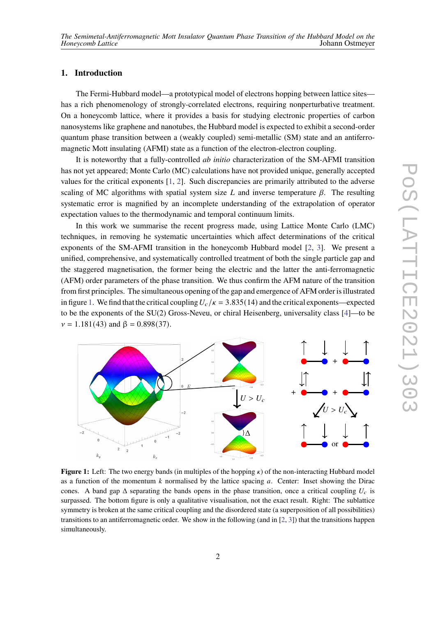### **1. Introduction**

The Fermi-Hubbard model—a prototypical model of electrons hopping between lattice sites has a rich phenomenology of strongly-correlated electrons, requiring nonperturbative treatment. On a honeycomb lattice, where it provides a basis for studying electronic properties of carbon nanosystems like graphene and nanotubes, the Hubbard model is expected to exhibit a second-order quantum phase transition between a (weakly coupled) semi-metallic (SM) state and an antiferromagnetic Mott insulating (AFMI) state as a function of the electron-electron coupling.

It is noteworthy that a fully-controlled *ab initio* characterization of the SM-AFMI transition has not yet appeared; Monte Carlo (MC) calculations have not provided unique, generally accepted values for the critical exponents [\[1,](#page-7-0) [2\]](#page-7-1). Such discrepancies are primarily attributed to the adverse scaling of MC algorithms with spatial system size L and inverse temperature  $\beta$ . The resulting systematic error is magnified by an incomplete understanding of the extrapolation of operator expectation values to the thermodynamic and temporal continuum limits.

In this work we summarise the recent progress made, using Lattice Monte Carlo (LMC) techniques, in removing he systematic uncertainties which affect determinations of the critical exponents of the SM-AFMI transition in the honeycomb Hubbard model [\[2,](#page-7-1) [3\]](#page-7-2). We present a unified, comprehensive, and systematically controlled treatment of both the single particle gap and the staggered magnetisation, the former being the electric and the latter the anti-ferromagnetic (AFM) order parameters of the phase transition. We thus confirm the AFM nature of the transition from first principles. The simultaneous opening of the gap and emergence of AFM order is illustrated in figure [1.](#page-1-0) We find that the critical coupling  $U_c/\kappa = 3.835(14)$  and the critical exponents—expected to be the exponents of the SU(2) Gross-Neveu, or chiral Heisenberg, universality class [\[4\]](#page-7-3)—to be  $v = 1.181(43)$  and  $\beta = 0.898(37)$ .

<span id="page-1-0"></span>

**Figure 1:** Left: The two energy bands (in multiples of the hopping  $\kappa$ ) of the non-interacting Hubbard model as a function of the momentum  $k$  normalised by the lattice spacing  $a$ . Center: Inset showing the Dirac cones. A band gap  $\Delta$  separating the bands opens in the phase transition, once a critical coupling  $U_c$  is surpassed. The bottom figure is only a qualitative visualisation, not the exact result. Right: The sublattice symmetry is broken at the same critical coupling and the disordered state (a superposition of all possibilities) transitions to an antiferromagnetic order. We show in the following (and in [\[2,](#page-7-1) [3\]](#page-7-2)) that the transitions happen simultaneously.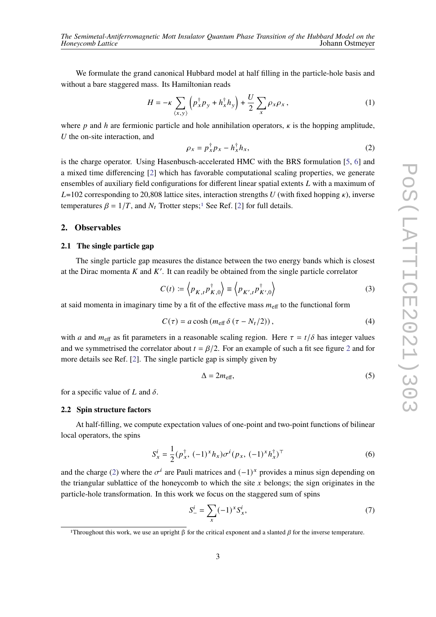We formulate the grand canonical Hubbard model at half filling in the particle-hole basis and without a bare staggered mass. Its Hamiltonian reads

$$
H = -\kappa \sum_{\langle x, y \rangle} \left( p_x^{\dagger} p_y + h_x^{\dagger} h_y \right) + \frac{U}{2} \sum_x \rho_x \rho_x, \qquad (1)
$$

where p and h are fermionic particle and hole annihilation operators,  $\kappa$  is the hopping amplitude,  $U$  the on-site interaction, and

<span id="page-2-1"></span>
$$
\rho_x = p_x^{\dagger} p_x - h_x^{\dagger} h_x, \tag{2}
$$

is the charge operator. Using Hasenbusch-accelerated HMC with the BRS formulation [\[5,](#page-7-4) [6\]](#page-7-5) and a mixed time differencing [\[2\]](#page-7-1) which has favorable computational scaling properties, we generate ensembles of auxiliary field configurations for different linear spatial extents  $L$  with a maximum of  $L=102$  corresponding to 20,808 lattice sites, interaction strengths U (with fixed hopping  $\kappa$ ), inverse temperatures  $\beta = 1/T$  $\beta = 1/T$  $\beta = 1/T$ , and  $N_t$  Trotter steps;<sup>1</sup> See Ref. [\[2\]](#page-7-1) for full details.

#### **2. Observables**

#### **2.1 The single particle gap**

The single particle gap measures the distance between the two energy bands which is closest at the Dirac momenta  $K$  and  $K'$ . It can readily be obtained from the single particle correlator

$$
C(t) := \left\langle p_{K,t} p_{K,0}^{\dagger} \right\rangle \equiv \left\langle p_{K',t} p_{K',0}^{\dagger} \right\rangle \tag{3}
$$

at said momenta in imaginary time by a fit of the effective mass  $m_{\text{eff}}$  to the functional form

$$
C(\tau) = a \cosh(m_{\text{eff}} \delta(\tau - N_t/2)), \qquad (4)
$$

with a and  $m_{\text{eff}}$  as fit parameters in a reasonable scaling region. Here  $\tau = t/\delta$  has integer values and we symmetrised the correlator about  $t = \frac{\beta}{2}$  $t = \frac{\beta}{2}$  $t = \frac{\beta}{2}$ . For an example of such a fit see figure 2 and for more details see Ref. [\[2\]](#page-7-1). The single particle gap is simply given by

<span id="page-2-2"></span>
$$
\Delta = 2m_{\text{eff}},\tag{5}
$$

for a specific value of L and  $\delta$ .

#### **2.2 Spin structure factors**

At half-filling, we compute expectation values of one-point and two-point functions of bilinear local operators, the spins

$$
S_x^i = \frac{1}{2} (p_x^{\dagger}, (-1)^x h_x) \sigma^i (p_x, (-1)^x h_x^{\dagger})^{\top}
$$
 (6)

and the charge [\(2\)](#page-2-1) where the  $\sigma^i$  are Pauli matrices and  $(-1)^x$  provides a minus sign depending on the triangular sublattice of the honeycomb to which the site  $x$  belongs; the sign originates in the particle-hole transformation. In this work we focus on the staggered sum of spins

$$
S_{-}^{i} = \sum_{x} (-1)^{x} S_{x}^{i},
$$
\n(7)

<span id="page-2-0"></span><sup>&</sup>lt;sup>1</sup>Throughout this work, we use an upright β for the critical exponent and a slanted β for the inverse temperature.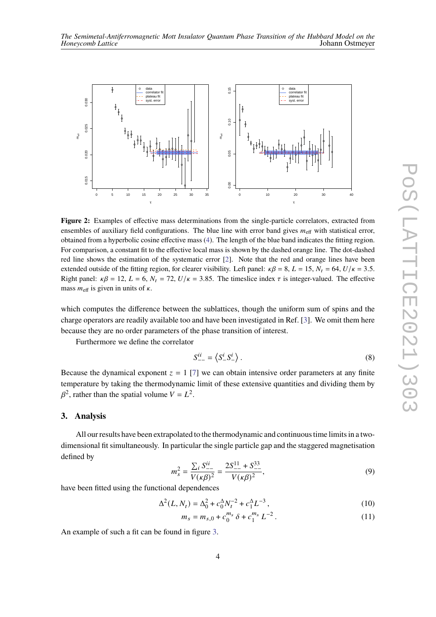<span id="page-3-0"></span>

**Figure 2:** Examples of effective mass determinations from the single-particle correlators, extracted from ensembles of auxiliary field configurations. The blue line with error band gives  $m_{\text{eff}}$  with statistical error, obtained from a hyperbolic cosine effective mass [\(4\)](#page-2-2). The length of the blue band indicates the fitting region. For comparison, a constant fit to the effective local mass is shown by the dashed orange line. The dot-dashed red line shows the estimation of the systematic error [\[2\]](#page-7-1). Note that the red and orange lines have been extended outside of the fitting region, for clearer visibility. Left panel:  $\kappa\beta = 8$ ,  $L = 15$ ,  $N_t = 64$ ,  $U/\kappa = 3.5$ . Right panel:  $\kappa\beta = 12$ ,  $L = 6$ ,  $N_t = 72$ ,  $U/\kappa = 3.85$ . The timeslice index  $\tau$  is integer-valued. The effective mass  $m_{\text{eff}}$  is given in units of  $\kappa$ .

which computes the difference between the sublattices, though the uniform sum of spins and the charge operators are readily available too and have been investigated in Ref. [\[3\]](#page-7-2). We omit them here because they are no order parameters of the phase transition of interest.

Furthermore we define the correlator

$$
S_{--}^{ii} = \left\langle S_{--}^{i} S_{-}^{i} \right\rangle. \tag{8}
$$

Because the dynamical exponent  $z = 1$  [\[7\]](#page-7-6) we can obtain intensive order parameters at any finite temperature by taking the thermodynamic limit of these extensive quantities and dividing them by  $\beta^2$ , rather than the spatial volume  $V = L^2$ .

#### **3. Analysis**

All our results have been extrapolated to the thermodynamic and continuous time limits in a twodimensional fit simultaneously. In particular the single particle gap and the staggered magnetisation defined by

$$
m_s^2 = \frac{\sum_i S_{--}^{ii}}{V(\kappa \beta)^2} = \frac{2S_{--}^{11} + S_{--}^{33}}{V(\kappa \beta)^2},\tag{9}
$$

have been fitted using the functional dependences

$$
\Delta^{2}(L, N_{t}) = \Delta_{0}^{2} + c_{0}^{\Delta} N_{t}^{-2} + c_{1}^{\Delta} L^{-3}, \qquad (10)
$$

<span id="page-3-1"></span>
$$
m_s = m_{s,0} + c_0^{m_s} \delta + c_1^{m_s} L^{-2}.
$$
 (11)

An example of such a fit can be found in figure [3.](#page-4-0)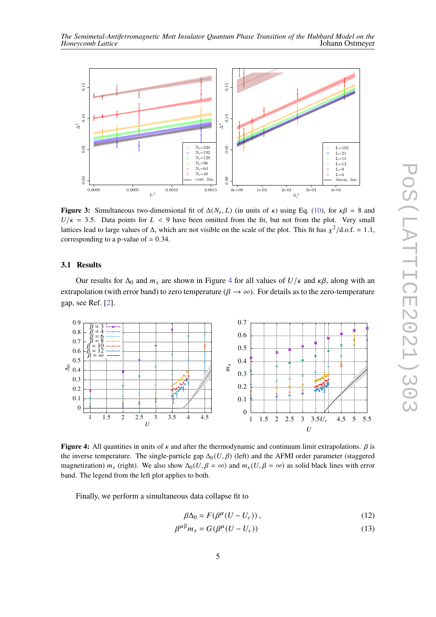

<span id="page-4-0"></span>

**Figure 3:** Simultaneous two-dimensional fit of  $\Delta(N_t, L)$  (in units of  $\kappa$ ) using Eq. [\(10\)](#page-3-1), for  $\kappa\beta = 8$  and  $U/\kappa = 3.5$ . Data points for  $L < 9$  have been omitted from the fit, but not from the plot. Very small lattices lead to large values of  $\Delta$ , which are not visible on the scale of the plot. This fit has  $\chi^2/\text{d.o.f.} \simeq 1.1$ , corresponding to a p-value of  $\simeq 0.34$ .

#### **3.1 Results**

Our results for  $\Delta_0$  and  $m_s$  are shown in Figure [4](#page-4-1) for all values of  $U/\kappa$  and  $\kappa\beta$ , along with an extrapolation (with error band) to zero temperature ( $\beta \rightarrow \infty$ ). For details as to the zero-temperature gap, see Ref. [\[2\]](#page-7-1).

<span id="page-4-1"></span>

**Figure 4:** All quantities in units of  $\kappa$  and after the thermodynamic and continuum limit extrapolations.  $\beta$  is the inverse temperature. The single-particle gap  $\Delta_0(U,\beta)$  (left) and the AFMI order parameter (staggered magnetization)  $m_s$  (right). We also show  $\Delta_0(U, \beta = \infty)$  and  $m_s(U, \beta = \infty)$  as solid black lines with error band. The legend from the left plot applies to both.

Finally, we perform a simultaneous data collapse fit to

<span id="page-4-3"></span><span id="page-4-2"></span>
$$
\beta \Delta_0 = F(\beta^{\mu} (U - U_c)), \qquad (12)
$$

$$
\beta^{\mu\beta}m_s = G(\beta^{\mu}(U - U_c))\tag{13}
$$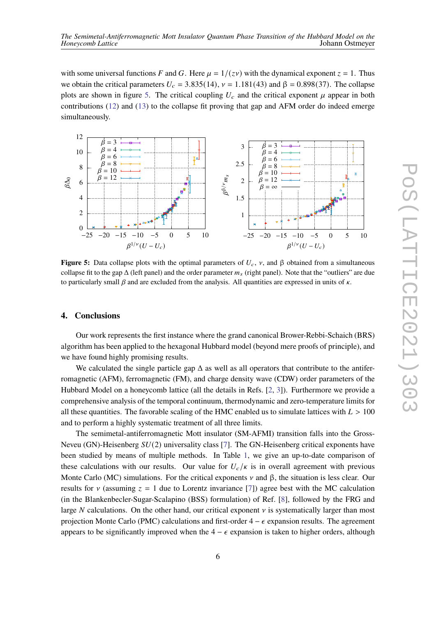with some universal functions F and G. Here  $\mu = 1/(zv)$  with the dynamical exponent  $z = 1$ . Thus we obtain the critical parameters  $U_c = 3.835(14)$ ,  $\nu = 1.181(43)$  and  $\beta = 0.898(37)$ . The collapse plots are shown in figure [5.](#page-5-0) The critical coupling  $U_c$  and the critical exponent  $\mu$  appear in both contributions [\(12\)](#page-4-2) and [\(13\)](#page-4-3) to the collapse fit proving that gap and AFM order do indeed emerge simultaneously.

<span id="page-5-0"></span>

**Figure 5:** Data collapse plots with the optimal parameters of  $U_c$ ,  $\nu$ , and  $\beta$  obtained from a simultaneous collapse fit to the gap  $\Delta$  (left panel) and the order parameter  $m_s$  (right panel). Note that the "outliers" are due to particularly small  $\beta$  and are excluded from the analysis. All quantities are expressed in units of  $\kappa$ .

#### **4. Conclusions**

Our work represents the first instance where the grand canonical Brower-Rebbi-Schaich (BRS) algorithm has been applied to the hexagonal Hubbard model (beyond mere proofs of principle), and we have found highly promising results.

We calculated the single particle gap  $\Delta$  as well as all operators that contribute to the antiferromagnetic (AFM), ferromagnetic (FM), and charge density wave (CDW) order parameters of the Hubbard Model on a honeycomb lattice (all the details in Refs. [\[2,](#page-7-1) [3\]](#page-7-2)). Furthermore we provide a comprehensive analysis of the temporal continuum, thermodynamic and zero-temperature limits for all these quantities. The favorable scaling of the HMC enabled us to simulate lattices with  $L > 100$ and to perform a highly systematic treatment of all three limits.

The semimetal-antiferromagnetic Mott insulator (SM-AFMI) transition falls into the Gross-Neveu (GN)-Heisenberg  $SU(2)$  universality class [\[7\]](#page-7-6). The GN-Heisenberg critical exponents have been studied by means of multiple methods. In Table [1,](#page-6-0) we give an up-to-date comparison of these calculations with our results. Our value for  $U_c/\kappa$  is in overall agreement with previous Monte Carlo (MC) simulations. For the critical exponents  $\nu$  and  $\beta$ , the situation is less clear. Our results for  $\nu$  (assuming  $z = 1$  due to Lorentz invariance [\[7\]](#page-7-6)) agree best with the MC calculation (in the Blankenbecler-Sugar-Scalapino (BSS) formulation) of Ref. [\[8\]](#page-7-7), followed by the FRG and large N calculations. On the other hand, our critical exponent  $\nu$  is systematically larger than most projection Monte Carlo (PMC) calculations and first-order  $4 - \epsilon$  expansion results. The agreement appears to be significantly improved when the  $4 - \epsilon$  expansion is taken to higher orders, although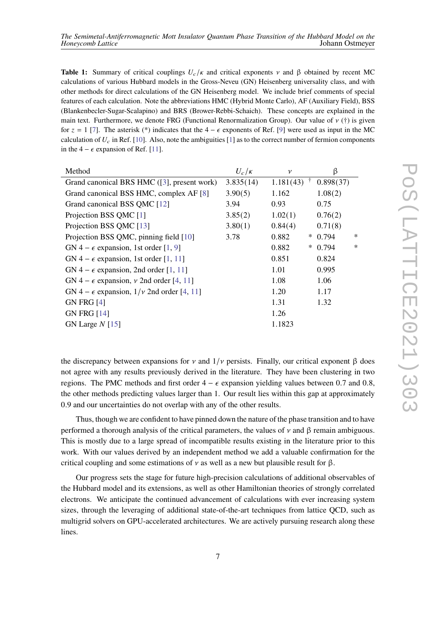<span id="page-6-0"></span>**Table 1:** Summary of critical couplings  $U_c/\kappa$  and critical exponents  $\nu$  and  $\beta$  obtained by recent MC calculations of various Hubbard models in the Gross-Neveu (GN) Heisenberg universality class, and with other methods for direct calculations of the GN Heisenberg model. We include brief comments of special features of each calculation. Note the abbreviations HMC (Hybrid Monte Carlo), AF (Auxiliary Field), BSS (Blankenbecler-Sugar-Scalapino) and BRS (Brower-Rebbi-Schaich). These concepts are explained in the main text. Furthermore, we denote FRG (Functional Renormalization Group). Our value of  $\nu$  (†) is given for  $z = 1$  [\[7\]](#page-7-6). The asterisk (\*) indicates that the 4 –  $\epsilon$  exponents of Ref. [\[9\]](#page-7-8) were used as input in the MC calculation of  $U_c$  in Ref. [\[10\]](#page-8-0). Also, note the ambiguities [\[1\]](#page-7-0) as to the correct number of fermion components in the 4 –  $\epsilon$  expansion of Ref. [\[11\]](#page-8-1).

| Method                                                 | $U_c/\kappa$ | $\mathcal V$ |        | β         |        |
|--------------------------------------------------------|--------------|--------------|--------|-----------|--------|
| Grand canonical BRS HMC ([3], present work)            | 3.835(14)    | 1.181(43)    |        | 0.898(37) |        |
| Grand canonical BSS HMC, complex AF [8]                | 3.90(5)      | 1.162        |        | 1.08(2)   |        |
| Grand canonical BSS QMC [12]                           | 3.94         | 0.93         |        | 0.75      |        |
| Projection BSS QMC [1]                                 | 3.85(2)      | 1.02(1)      |        | 0.76(2)   |        |
| Projection BSS QMC [13]                                | 3.80(1)      | 0.84(4)      |        | 0.71(8)   |        |
| Projection BSS QMC, pinning field [10]                 | 3.78         | 0.882        | $\ast$ | 0.794     | $\ast$ |
| GN 4 – $\epsilon$ expansion, 1st order [1, 9]          |              | 0.882        | $\ast$ | 0.794     | $\ast$ |
| GN 4 – $\epsilon$ expansion, 1st order [1, 11]         |              | 0.851        |        | 0.824     |        |
| GN 4 – $\epsilon$ expansion, 2nd order [1, 11]         |              | 1.01         |        | 0.995     |        |
| GN 4 – $\epsilon$ expansion, v 2nd order [4, 11]       |              | 1.08         |        | 1.06      |        |
| GN 4 – $\epsilon$ expansion, $1/\nu$ 2nd order [4, 11] |              | 1.20         |        | 1.17      |        |
| <b>GN FRG [4]</b>                                      |              | 1.31         |        | 1.32      |        |
| <b>GN FRG [14]</b>                                     |              | 1.26         |        |           |        |
| GN Large $N$ [15]                                      |              | 1.1823       |        |           |        |

the discrepancy between expansions for  $\nu$  and  $1/\nu$  persists. Finally, our critical exponent  $\beta$  does not agree with any results previously derived in the literature. They have been clustering in two regions. The PMC methods and first order  $4 - \epsilon$  expansion yielding values between 0.7 and 0.8, the other methods predicting values larger than 1. Our result lies within this gap at approximately 0.9 and our uncertainties do not overlap with any of the other results.

Thus, though we are confident to have pinned down the nature of the phase transition and to have performed a thorough analysis of the critical parameters, the values of  $\nu$  and  $\beta$  remain ambiguous. This is mostly due to a large spread of incompatible results existing in the literature prior to this work. With our values derived by an independent method we add a valuable confirmation for the critical coupling and some estimations of  $\nu$  as well as a new but plausible result for  $\beta$ .

Our progress sets the stage for future high-precision calculations of additional observables of the Hubbard model and its extensions, as well as other Hamiltonian theories of strongly correlated electrons. We anticipate the continued advancement of calculations with ever increasing system sizes, through the leveraging of additional state-of-the-art techniques from lattice QCD, such as multigrid solvers on GPU-accelerated architectures. We are actively pursuing research along these lines.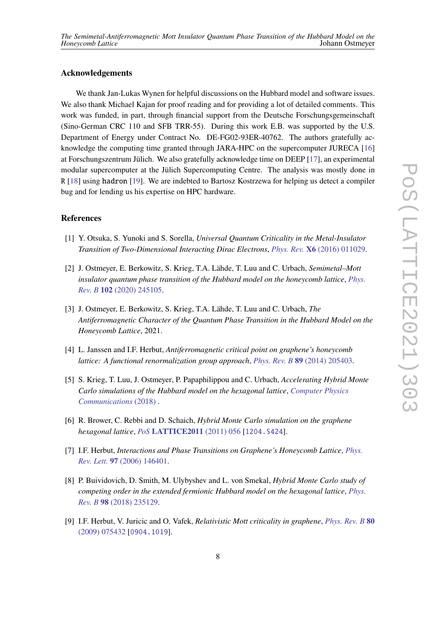#### **Acknowledgements**

We thank Jan-Lukas Wynen for helpful discussions on the Hubbard model and software issues. We also thank Michael Kajan for proof reading and for providing a lot of detailed comments. This work was funded, in part, through financial support from the Deutsche Forschungsgemeinschaft (Sino-German CRC 110 and SFB TRR-55). During this work E.B. was supported by the U.S. Department of Energy under Contract No. DE-FG02-93ER-40762. The authors gratefully acknowledge the computing time granted through JARA-HPC on the supercomputer JURECA [\[16\]](#page-8-6) at Forschungszentrum Jülich. We also gratefully acknowledge time on DEEP [\[17\]](#page-8-7), an experimental modular supercomputer at the Jülich Supercomputing Centre. The analysis was mostly done in R [\[18\]](#page-8-8) using hadron [\[19\]](#page-8-9). We are indebted to Bartosz Kostrzewa for helping us detect a compiler bug and for lending us his expertise on HPC hardware.

#### **References**

- <span id="page-7-0"></span>[1] Y. Otsuka, S. Yunoki and S. Sorella, *Universal Quantum Criticality in the Metal-Insulator Transition of Two-Dimensional Interacting Dirac Electrons*, *Phys. Rev.* **X6** [\(2016\) 011029.](https://doi.org/10.1103/PhysRevX.6.011029)
- <span id="page-7-1"></span>[2] J. Ostmeyer, E. Berkowitz, S. Krieg, T.A. Lähde, T. Luu and C. Urbach, *Semimetal–Mott insulator quantum phase transition of the Hubbard model on the honeycomb lattice*, *[Phys.](https://doi.org/10.1103/PhysRevB.102.245105) Rev. B* **102** [\(2020\) 245105.](https://doi.org/10.1103/PhysRevB.102.245105)
- <span id="page-7-2"></span>[3] J. Ostmeyer, E. Berkowitz, S. Krieg, T.A. Lähde, T. Luu and C. Urbach, *The Antiferromagnetic Character of the Quantum Phase Transition in the Hubbard Model on the Honeycomb Lattice*, 2021.
- <span id="page-7-3"></span>[4] L. Janssen and I.F. Herbut, *Antiferromagnetic critical point on graphene's honeycomb lattice: A functional renormalization group approach*, *Phys. Rev. B* **89** [\(2014\) 205403.](https://doi.org/10.1103/PhysRevB.89.205403)
- <span id="page-7-4"></span>[5] S. Krieg, T. Luu, J. Ostmeyer, P. Papaphilippou and C. Urbach, *Accelerating Hybrid Monte Carlo simulations of the Hubbard model on the hexagonal lattice*, *[Computer Physics](https://doi.org/10.1016/j.cpc.2018.10.008) [Communications](https://doi.org/10.1016/j.cpc.2018.10.008)* (2018) .
- <span id="page-7-5"></span>[6] R. Brower, C. Rebbi and D. Schaich, *Hybrid Monte Carlo simulation on the graphene hexagonal lattice*, *PoS* **[LATTICE2011](https://doi.org/10.22323/1.139.0056)** (2011) 056 [[1204.5424](https://arxiv.org/abs/1204.5424)].
- <span id="page-7-6"></span>[7] I.F. Herbut, *Interactions and Phase Transitions on Graphene's Honeycomb Lattice*, *[Phys.](https://doi.org/10.1103/PhysRevLett.97.146401) Rev. Lett.* **97** [\(2006\) 146401.](https://doi.org/10.1103/PhysRevLett.97.146401)
- <span id="page-7-7"></span>[8] P. Buividovich, D. Smith, M. Ulybyshev and L. von Smekal, *Hybrid Monte Carlo study of competing order in the extended fermionic Hubbard model on the hexagonal lattice*, *[Phys.](https://doi.org/10.1103/PhysRevB.98.235129) Rev. B* **98** [\(2018\) 235129.](https://doi.org/10.1103/PhysRevB.98.235129)
- <span id="page-7-8"></span>[9] I.F. Herbut, V. Juricic and O. Vafek, *Relativistic Mott criticality in graphene*, *[Phys. Rev. B](https://doi.org/10.1103/PhysRevB.80.075432)* **80** [\(2009\) 075432](https://doi.org/10.1103/PhysRevB.80.075432) [[0904.1019](https://arxiv.org/abs/0904.1019)].